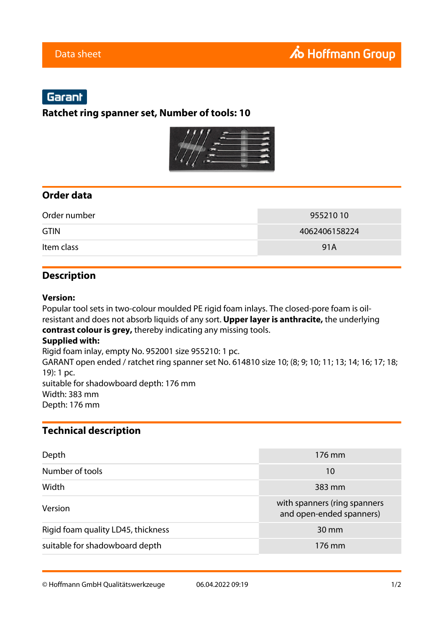# Garant

**Ratchet ring spanner set, Number of tools: 10**



## **Order data**

| Order number | 955210 10     |
|--------------|---------------|
| <b>GTIN</b>  | 4062406158224 |
| Item class   | 91A           |

## **Description**

#### **Version:**

Popular tool sets in two-colour moulded PE rigid foam inlays. The closed-pore foam is oilresistant and does not absorb liquids of any sort. **Upper layer is anthracite,** the underlying **contrast colour is grey,** thereby indicating any missing tools. **Supplied with:** Rigid foam inlay, empty No. 952001 size 955210: 1 pc. GARANT open ended / ratchet ring spanner set No. 614810 size 10; (8; 9; 10; 11; 13; 14; 16; 17; 18; 19): 1 pc. suitable for shadowboard depth: 176 mm Width: 383 mm Depth: 176 mm

### **Technical description**

| Depth                              | 176 mm                                                   |
|------------------------------------|----------------------------------------------------------|
| Number of tools                    | 10                                                       |
| Width                              | 383 mm                                                   |
| Version                            | with spanners (ring spanners<br>and open-ended spanners) |
| Rigid foam quality LD45, thickness | $30 \text{ mm}$                                          |
| suitable for shadowboard depth     | 176 mm                                                   |